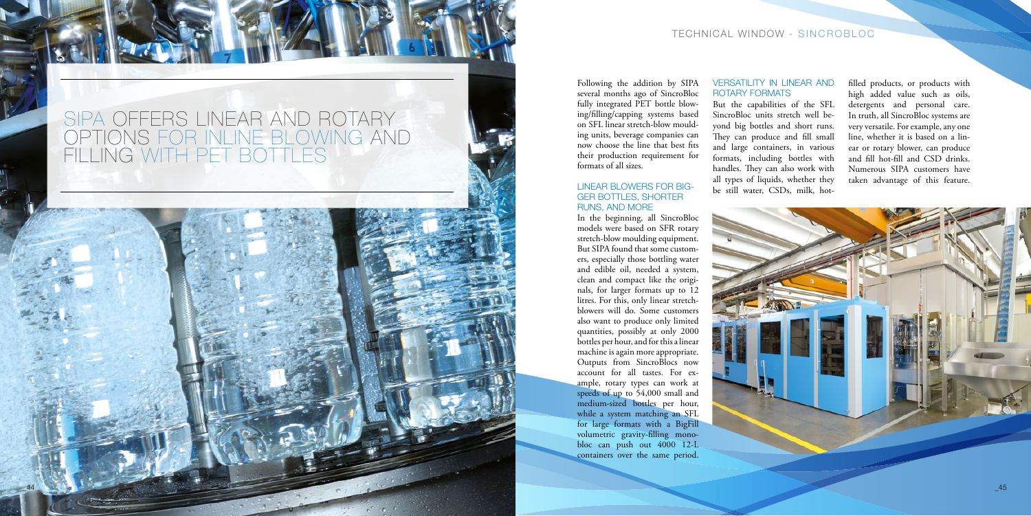## TECHNICAL WINDOW - SINCROBLOC

Following the addition by SIPA several months ago of SincroBloc fully integrated PET bottle blowing/filling/capping systems based on SFL linear stretch-blow moulding units, beverage companies can now choose the line that best fits their production requirement for formats of all sizes.

### LINEAR BLOWERS FOR BIG-GER BOTTLES, SHORTER RUNS, AND MORE

In the beginning, all SincroBloc models were based on SFR rotary stretch-blow moulding equipment. But SIPA found that some customers, especially those bottling water and edible oil, needed a system, clean and compact like the originals, for larger formats up to 12 litres. For this, only linear stretchblowers will do. Some customers also want to produce only limited quantities, possibly at only 2000 bottles per hour, and for this a linear machine is again more appropriate. Outputs from SincroBlocs now account for all tastes. For example, rotary types can work at speeds of up to 54,000 small and medium-sized bottles per hour, while a system matching an SFL for large formats with a BigFill volumetric gravity-filling monobloc can push out 4000 12-L containers over the same period.

#### VERSATILITY IN LINEAR AND ROTARY FORMATS

But the capabilities of the SFL SincroBloc units stretch well beyond big bottles and short runs. They can produce and fill small and large containers, in various formats, including bottles with handles. They can also work with all types of liquids, whether they be still water, CSDs, milk, hot-

filled products, or products with high added value such as oils, detergents and personal care. In truth, all SincroBloc systems are very versatile. For example, any one line, whether it is based on a linear or rotary blower, can produce and fill hot-fill and CSD drinks. Numerous SIPA customers have taken advantage of this feature.



# SIPA OFFERS LINEAR AND ROTARY OPTIONS FOR INLINE BLOWING AND FILLING WITH PET BOTTLES